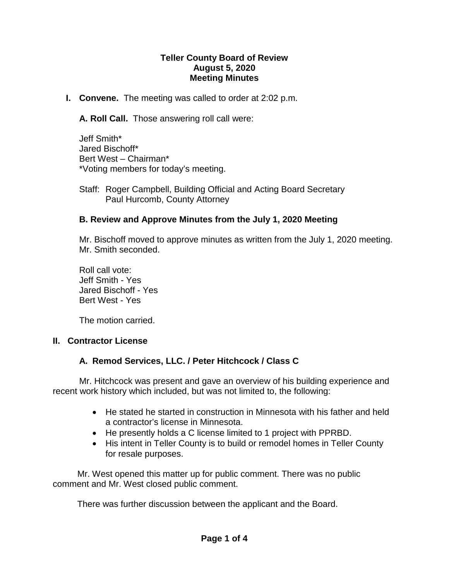#### **Teller County Board of Review August 5, 2020 Meeting Minutes**

**I. Convene.** The meeting was called to order at 2:02 p.m.

**A. Roll Call.** Those answering roll call were:

Jeff Smith\* Jared Bischoff\* Bert West – Chairman\* \*Voting members for today's meeting.

Staff: Roger Campbell, Building Official and Acting Board Secretary Paul Hurcomb, County Attorney

#### **B. Review and Approve Minutes from the July 1, 2020 Meeting**

Mr. Bischoff moved to approve minutes as written from the July 1, 2020 meeting. Mr. Smith seconded.

Roll call vote: Jeff Smith - Yes Jared Bischoff - Yes Bert West - Yes

The motion carried.

#### **II. Contractor License**

#### **A. Remod Services, LLC. / Peter Hitchcock / Class C**

Mr. Hitchcock was present and gave an overview of his building experience and recent work history which included, but was not limited to, the following:

- He stated he started in construction in Minnesota with his father and held a contractor's license in Minnesota.
- He presently holds a C license limited to 1 project with PPRBD.
- His intent in Teller County is to build or remodel homes in Teller County for resale purposes.

 Mr. West opened this matter up for public comment. There was no public comment and Mr. West closed public comment.

There was further discussion between the applicant and the Board.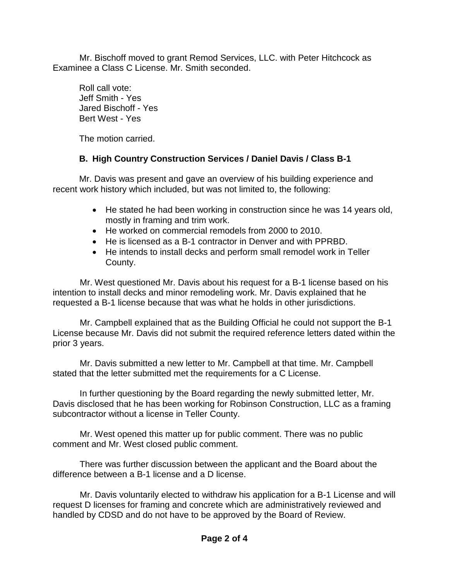Mr. Bischoff moved to grant Remod Services, LLC. with Peter Hitchcock as Examinee a Class C License. Mr. Smith seconded.

Roll call vote: Jeff Smith - Yes Jared Bischoff - Yes Bert West - Yes

The motion carried.

## **B. High Country Construction Services / Daniel Davis / Class B-1**

Mr. Davis was present and gave an overview of his building experience and recent work history which included, but was not limited to, the following:

- He stated he had been working in construction since he was 14 years old, mostly in framing and trim work.
- He worked on commercial remodels from 2000 to 2010.
- He is licensed as a B-1 contractor in Denver and with PPRBD.
- He intends to install decks and perform small remodel work in Teller County.

 Mr. West questioned Mr. Davis about his request for a B-1 license based on his intention to install decks and minor remodeling work. Mr. Davis explained that he requested a B-1 license because that was what he holds in other jurisdictions.

 Mr. Campbell explained that as the Building Official he could not support the B-1 License because Mr. Davis did not submit the required reference letters dated within the prior 3 years.

 Mr. Davis submitted a new letter to Mr. Campbell at that time. Mr. Campbell stated that the letter submitted met the requirements for a C License.

 In further questioning by the Board regarding the newly submitted letter, Mr. Davis disclosed that he has been working for Robinson Construction, LLC as a framing subcontractor without a license in Teller County.

 Mr. West opened this matter up for public comment. There was no public comment and Mr. West closed public comment.

There was further discussion between the applicant and the Board about the difference between a B-1 license and a D license.

 Mr. Davis voluntarily elected to withdraw his application for a B-1 License and will request D licenses for framing and concrete which are administratively reviewed and handled by CDSD and do not have to be approved by the Board of Review.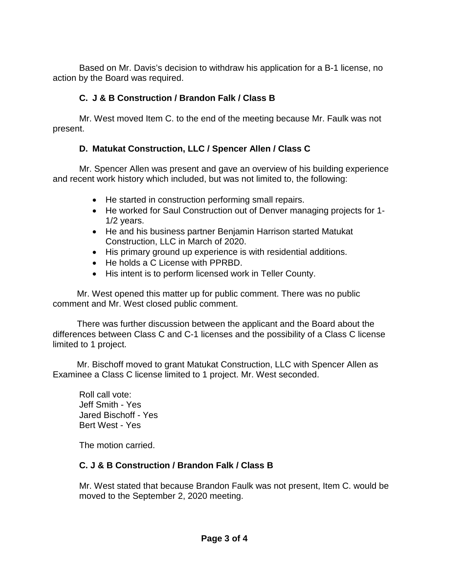Based on Mr. Davis's decision to withdraw his application for a B-1 license, no action by the Board was required.

## **C. J & B Construction / Brandon Falk / Class B**

Mr. West moved Item C. to the end of the meeting because Mr. Faulk was not present.

## **D. Matukat Construction, LLC / Spencer Allen / Class C**

Mr. Spencer Allen was present and gave an overview of his building experience and recent work history which included, but was not limited to, the following:

- He started in construction performing small repairs.
- He worked for Saul Construction out of Denver managing projects for 1- 1/2 years.
- He and his business partner Benjamin Harrison started Matukat Construction, LLC in March of 2020.
- His primary ground up experience is with residential additions.
- He holds a C License with PPRBD.
- His intent is to perform licensed work in Teller County.

Mr. West opened this matter up for public comment. There was no public comment and Mr. West closed public comment.

There was further discussion between the applicant and the Board about the differences between Class C and C-1 licenses and the possibility of a Class C license limited to 1 project.

Mr. Bischoff moved to grant Matukat Construction, LLC with Spencer Allen as Examinee a Class C license limited to 1 project. Mr. West seconded.

Roll call vote: Jeff Smith - Yes Jared Bischoff - Yes Bert West - Yes

The motion carried.

## **C. J & B Construction / Brandon Falk / Class B**

Mr. West stated that because Brandon Faulk was not present, Item C. would be moved to the September 2, 2020 meeting.